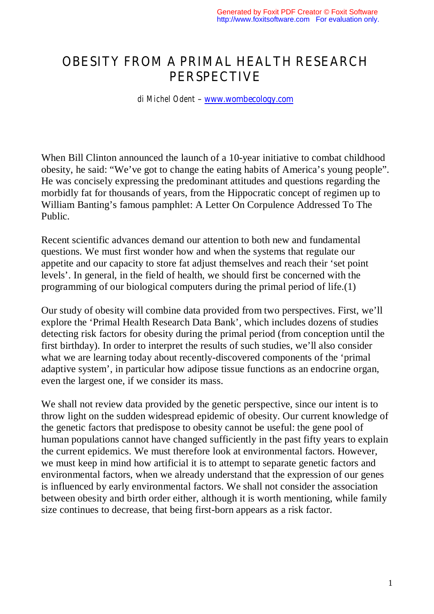## OBESITY FROM A PRIMAL HEALTH RESEARCH PERSPECTIVE

*di Michel Odent* – www.wombecology.com

When Bill Clinton announced the launch of a 10-year initiative to combat childhood obesity, he said: "We've got to change the eating habits of America's young people". He was concisely expressing the predominant attitudes and questions regarding the morbidly fat for thousands of years, from the Hippocratic concept of regimen up to William Banting's famous pamphlet: A Letter On Corpulence Addressed To The Public.

Recent scientific advances demand our attention to both new and fundamental questions. We must first wonder how and when the systems that regulate our appetite and our capacity to store fat adjust themselves and reach their 'set point levels'. In general, in the field of health, we should first be concerned with the programming of our biological computers during the primal period of life.(1)

Our study of obesity will combine data provided from two perspectives. First, we'll explore the 'Primal Health Research Data Bank', which includes dozens of studies detecting risk factors for obesity during the primal period (from conception until the first birthday). In order to interpret the results of such studies, we'll also consider what we are learning today about recently-discovered components of the 'primal adaptive system', in particular how adipose tissue functions as an endocrine organ, even the largest one, if we consider its mass.

We shall not review data provided by the genetic perspective, since our intent is to throw light on the sudden widespread epidemic of obesity. Our current knowledge of the genetic factors that predispose to obesity cannot be useful: the gene pool of human populations cannot have changed sufficiently in the past fifty years to explain the current epidemics. We must therefore look at environmental factors. However, we must keep in mind how artificial it is to attempt to separate genetic factors and environmental factors, when we already understand that the expression of our genes is influenced by early environmental factors. We shall not consider the association between obesity and birth order either, although it is worth mentioning, while family size continues to decrease, that being first-born appears as a risk factor.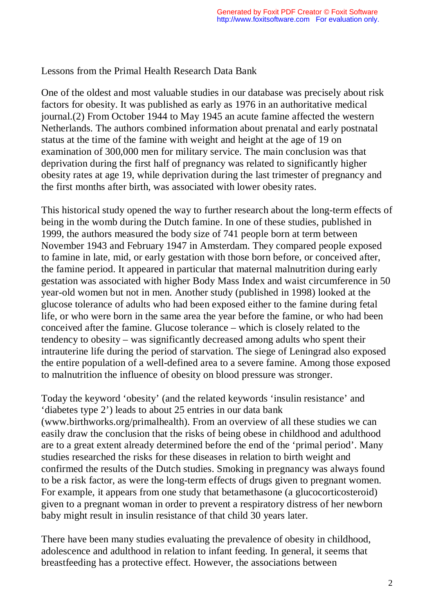Lessons from the Primal Health Research Data Bank

One of the oldest and most valuable studies in our database was precisely about risk factors for obesity. It was published as early as 1976 in an authoritative medical journal.(2) From October 1944 to May 1945 an acute famine affected the western Netherlands. The authors combined information about prenatal and early postnatal status at the time of the famine with weight and height at the age of 19 on examination of 300,000 men for military service. The main conclusion was that deprivation during the first half of pregnancy was related to significantly higher obesity rates at age 19, while deprivation during the last trimester of pregnancy and the first months after birth, was associated with lower obesity rates.

This historical study opened the way to further research about the long-term effects of being in the womb during the Dutch famine. In one of these studies, published in 1999, the authors measured the body size of 741 people born at term between November 1943 and February 1947 in Amsterdam. They compared people exposed to famine in late, mid, or early gestation with those born before, or conceived after, the famine period. It appeared in particular that maternal malnutrition during early gestation was associated with higher Body Mass Index and waist circumference in 50 year-old women but not in men. Another study (published in 1998) looked at the glucose tolerance of adults who had been exposed either to the famine during fetal life, or who were born in the same area the year before the famine, or who had been conceived after the famine. Glucose tolerance – which is closely related to the tendency to obesity – was significantly decreased among adults who spent their intrauterine life during the period of starvation. The siege of Leningrad also exposed the entire population of a well-defined area to a severe famine. Among those exposed to malnutrition the influence of obesity on blood pressure was stronger.

Today the keyword 'obesity' (and the related keywords 'insulin resistance' and 'diabetes type 2') leads to about 25 entries in our data bank (www.birthworks.org/primalhealth). From an overview of all these studies we can easily draw the conclusion that the risks of being obese in childhood and adulthood are to a great extent already determined before the end of the 'primal period'. Many studies researched the risks for these diseases in relation to birth weight and confirmed the results of the Dutch studies. Smoking in pregnancy was always found to be a risk factor, as were the long-term effects of drugs given to pregnant women. For example, it appears from one study that betamethasone (a glucocorticosteroid) given to a pregnant woman in order to prevent a respiratory distress of her newborn baby might result in insulin resistance of that child 30 years later.

There have been many studies evaluating the prevalence of obesity in childhood, adolescence and adulthood in relation to infant feeding. In general, it seems that breastfeeding has a protective effect. However, the associations between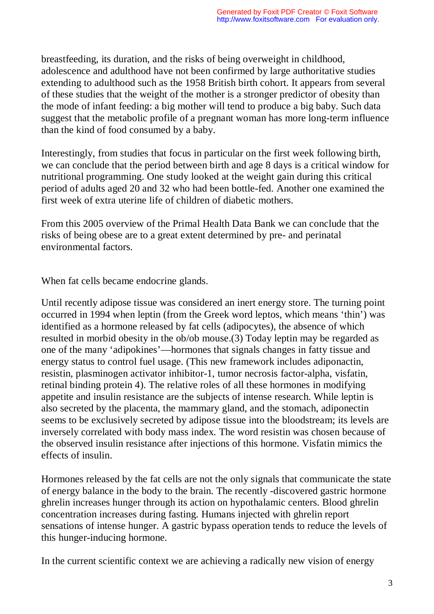breastfeeding, its duration, and the risks of being overweight in childhood, adolescence and adulthood have not been confirmed by large authoritative studies extending to adulthood such as the 1958 British birth cohort. It appears from several of these studies that the weight of the mother is a stronger predictor of obesity than the mode of infant feeding: a big mother will tend to produce a big baby. Such data suggest that the metabolic profile of a pregnant woman has more long-term influence than the kind of food consumed by a baby.

Interestingly, from studies that focus in particular on the first week following birth, we can conclude that the period between birth and age 8 days is a critical window for nutritional programming. One study looked at the weight gain during this critical period of adults aged 20 and 32 who had been bottle-fed. Another one examined the first week of extra uterine life of children of diabetic mothers.

From this 2005 overview of the Primal Health Data Bank we can conclude that the risks of being obese are to a great extent determined by pre- and perinatal environmental factors.

When fat cells became endocrine glands.

Until recently adipose tissue was considered an inert energy store. The turning point occurred in 1994 when leptin (from the Greek word leptos, which means 'thin') was identified as a hormone released by fat cells (adipocytes), the absence of which resulted in morbid obesity in the ob/ob mouse.(3) Today leptin may be regarded as one of the many 'adipokines'—hormones that signals changes in fatty tissue and energy status to control fuel usage. (This new framework includes adiponactin, resistin, plasminogen activator inhibitor-1, tumor necrosis factor-alpha, visfatin, retinal binding protein 4). The relative roles of all these hormones in modifying appetite and insulin resistance are the subjects of intense research. While leptin is also secreted by the placenta, the mammary gland, and the stomach, adiponectin seems to be exclusively secreted by adipose tissue into the bloodstream; its levels are inversely correlated with body mass index. The word resistin was chosen because of the observed insulin resistance after injections of this hormone. Visfatin mimics the effects of insulin.

Hormones released by the fat cells are not the only signals that communicate the state of energy balance in the body to the brain. The recently -discovered gastric hormone ghrelin increases hunger through its action on hypothalamic centers. Blood ghrelin concentration increases during fasting. Humans injected with ghrelin report sensations of intense hunger. A gastric bypass operation tends to reduce the levels of this hunger-inducing hormone.

In the current scientific context we are achieving a radically new vision of energy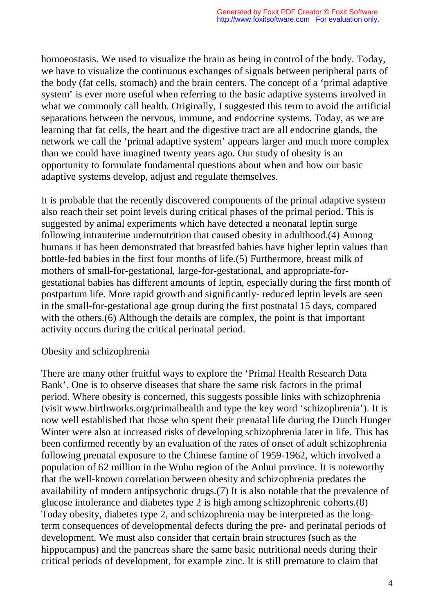homoeostasis. We used to visualize the brain as being in control of the body. Today, we have to visualize the continuous exchanges of signals between peripheral parts of the body (fat cells, stomach) and the brain centers. The concept of a 'primal adaptive system' is ever more useful when referring to the basic adaptive systems involved in what we commonly call health. Originally, I suggested this term to avoid the artificial separations between the nervous, immune, and endocrine systems. Today, as we are learning that fat cells, the heart and the digestive tract are all endocrine glands, the network we call the 'primal adaptive system' appears larger and much more complex than we could have imagined twenty years ago. Our study of obesity is an opportunity to formulate fundamental questions about when and how our basic adaptive systems develop, adjust and regulate themselves.

It is probable that the recently discovered components of the primal adaptive system also reach their set point levels during critical phases of the primal period. This is suggested by animal experiments which have detected a neonatal leptin surge following intrauterine undernutrition that caused obesity in adulthood.(4) Among humans it has been demonstrated that breastfed babies have higher leptin values than bottle-fed babies in the first four months of life.(5) Furthermore, breast milk of mothers of small-for-gestational, large-for-gestational, and appropriate-forgestational babies has different amounts of leptin, especially during the first month of postpartum life. More rapid growth and significantly- reduced leptin levels are seen in the small-for-gestational age group during the first postnatal 15 days, compared with the others.(6) Although the details are complex, the point is that important activity occurs during the critical perinatal period.

## Obesity and schizophrenia

There are many other fruitful ways to explore the 'Primal Health Research Data Bank'. One is to observe diseases that share the same risk factors in the primal period. Where obesity is concerned, this suggests possible links with schizophrenia (visit www.birthworks.org/primalhealth and type the key word 'schizophrenia'). It is now well established that those who spent their prenatal life during the Dutch Hunger Winter were also at increased risks of developing schizophrenia later in life. This has been confirmed recently by an evaluation of the rates of onset of adult schizophrenia following prenatal exposure to the Chinese famine of 1959-1962, which involved a population of 62 million in the Wuhu region of the Anhui province. It is noteworthy that the well-known correlation between obesity and schizophrenia predates the availability of modern antipsychotic drugs.(7) It is also notable that the prevalence of glucose intolerance and diabetes type 2 is high among schizophrenic cohorts.(8) Today obesity, diabetes type 2, and schizophrenia may be interpreted as the longterm consequences of developmental defects during the pre- and perinatal periods of development. We must also consider that certain brain structures (such as the hippocampus) and the pancreas share the same basic nutritional needs during their critical periods of development, for example zinc. It is still premature to claim that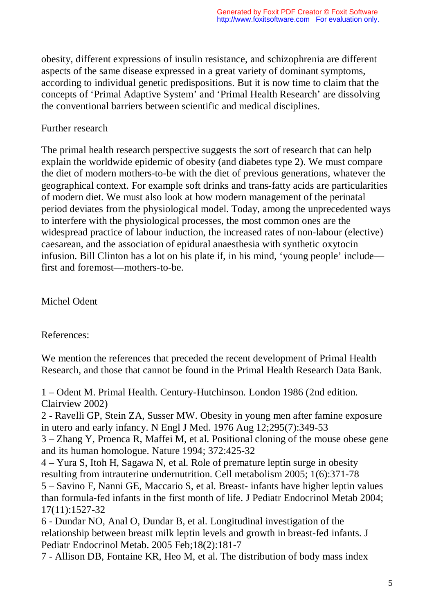obesity, different expressions of insulin resistance, and schizophrenia are different aspects of the same disease expressed in a great variety of dominant symptoms, according to individual genetic predispositions. But it is now time to claim that the concepts of 'Primal Adaptive System' and 'Primal Health Research' are dissolving the conventional barriers between scientific and medical disciplines.

## Further research

The primal health research perspective suggests the sort of research that can help explain the worldwide epidemic of obesity (and diabetes type 2). We must compare the diet of modern mothers-to-be with the diet of previous generations, whatever the geographical context. For example soft drinks and trans-fatty acids are particularities of modern diet. We must also look at how modern management of the perinatal period deviates from the physiological model. Today, among the unprecedented ways to interfere with the physiological processes, the most common ones are the widespread practice of labour induction, the increased rates of non-labour (elective) caesarean, and the association of epidural anaesthesia with synthetic oxytocin infusion. Bill Clinton has a lot on his plate if, in his mind, 'young people' include first and foremost—mothers-to-be.

Michel Odent

References:

We mention the references that preceded the recent development of Primal Health Research, and those that cannot be found in the Primal Health Research Data Bank.

1 – Odent M. Primal Health. Century-Hutchinson. London 1986 (2nd edition. Clairview 2002)

2 - Ravelli GP, Stein ZA, Susser MW. Obesity in young men after famine exposure in utero and early infancy. N Engl J Med. 1976 Aug 12;295(7):349-53

3 – Zhang Y, Proenca R, Maffei M, et al. Positional cloning of the mouse obese gene and its human homologue. Nature 1994; 372:425-32

4 – Yura S, Itoh H, Sagawa N, et al. Role of premature leptin surge in obesity resulting from intrauterine undernutrition. Cell metabolism 2005; 1(6):371-78 5 – Savino F, Nanni GE, Maccario S, et al. Breast- infants have higher leptin values than formula-fed infants in the first month of life. J Pediatr Endocrinol Metab 2004; 17(11):1527-32

6 - Dundar NO, Anal O, Dundar B, et al. Longitudinal investigation of the relationship between breast milk leptin levels and growth in breast-fed infants. J Pediatr Endocrinol Metab. 2005 Feb;18(2):181-7

7 - Allison DB, Fontaine KR, Heo M, et al. The distribution of body mass index